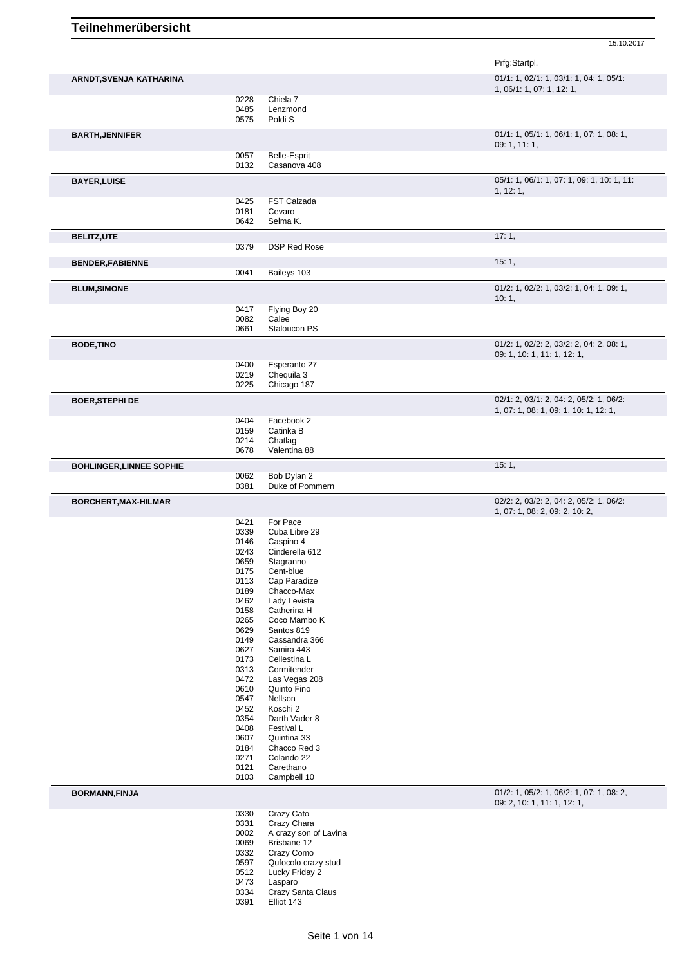|                                 |              |                                 | Prfg:Startpl.                                                           |
|---------------------------------|--------------|---------------------------------|-------------------------------------------------------------------------|
| ARNDT, SVENJA KATHARINA         |              |                                 | 01/1: 1, 02/1: 1, 03/1: 1, 04: 1, 05/1:<br>1, 06/1: 1, 07: 1, 12: 1,    |
|                                 | 0228         | Chiela 7                        |                                                                         |
|                                 | 0485<br>0575 | Lenzmond<br>Poldi <sub>S</sub>  |                                                                         |
| <b>BARTH, JENNIFER</b>          |              |                                 | 01/1: 1, 05/1: 1, 06/1: 1, 07: 1, 08: 1,                                |
|                                 | 0057         | Belle-Esprit                    | 09: 1, 11: 1,                                                           |
|                                 | 0132         | Casanova 408                    |                                                                         |
| <b>BAYER, LUISE</b>             |              |                                 | 05/1: 1, 06/1: 1, 07: 1, 09: 1, 10: 1, 11:<br>1, 12: 1,                 |
|                                 | 0425         | FST Calzada<br>Cevaro           |                                                                         |
|                                 | 0181<br>0642 | Selma K.                        |                                                                         |
| <b>BELITZ,UTE</b>               |              |                                 | 17:1,                                                                   |
|                                 | 0379         | <b>DSP Red Rose</b>             |                                                                         |
| <b>BENDER, FABIENNE</b>         | 0041         | Baileys 103                     | 15:1,                                                                   |
| <b>BLUM, SIMONE</b>             |              |                                 | 01/2: 1, 02/2: 1, 03/2: 1, 04: 1, 09: 1,                                |
|                                 |              |                                 | 10:1,                                                                   |
|                                 | 0417<br>0082 | Flying Boy 20<br>Calee          |                                                                         |
|                                 | 0661         | Staloucon PS                    |                                                                         |
| <b>BODE, TINO</b>               |              |                                 | 01/2: 1, 02/2: 2, 03/2: 2, 04: 2, 08: 1,<br>09: 1, 10: 1, 11: 1, 12: 1, |
|                                 | 0400         | Esperanto 27                    |                                                                         |
|                                 | 0219<br>0225 | Chequila 3<br>Chicago 187       |                                                                         |
| <b>BOER, STEPHI DE</b>          |              |                                 | 02/1: 2, 03/1: 2, 04: 2, 05/2: 1, 06/2:                                 |
|                                 |              |                                 | 1, 07: 1, 08: 1, 09: 1, 10: 1, 12: 1,                                   |
|                                 | 0404<br>0159 | Facebook 2<br>Catinka B         |                                                                         |
|                                 | 0214<br>0678 | Chatlag<br>Valentina 88         |                                                                         |
| <b>BOHLINGER, LINNEE SOPHIE</b> |              |                                 | 15:1,                                                                   |
|                                 | 0062         | Bob Dylan 2                     |                                                                         |
| BORCHERT, MAX-HILMAR            | 0381         | Duke of Pommern                 | 02/2: 2, 03/2: 2, 04: 2, 05/2: 1, 06/2:                                 |
|                                 |              |                                 | 1, 07: 1, 08: 2, 09: 2, 10: 2,                                          |
|                                 | 0421<br>0339 | For Pace<br>Cuba Libre 29       |                                                                         |
|                                 | 0146         | Caspino 4                       |                                                                         |
|                                 | 0243<br>0659 | Cinderella 612<br>Stagranno     |                                                                         |
|                                 | 0175         | Cent-blue                       |                                                                         |
|                                 | 0113         | Cap Paradize                    |                                                                         |
|                                 | 0189         | Chacco-Max                      |                                                                         |
|                                 | 0462         | Lady Levista                    |                                                                         |
|                                 | 0158         | Catherina H                     |                                                                         |
|                                 | 0265         | Coco Mambo K                    |                                                                         |
|                                 | 0629<br>0149 | Santos 819<br>Cassandra 366     |                                                                         |
|                                 | 0627         | Samira 443                      |                                                                         |
|                                 | 0173         | Cellestina L                    |                                                                         |
|                                 | 0313         | Cormitender                     |                                                                         |
|                                 | 0472         | Las Vegas 208                   |                                                                         |
|                                 | 0610         | Quinto Fino                     |                                                                         |
|                                 | 0547         | Nellson                         |                                                                         |
|                                 | 0452         | Koschi 2                        |                                                                         |
|                                 | 0354<br>0408 | Darth Vader 8<br>Festival L     |                                                                         |
|                                 | 0607         | Quintina 33                     |                                                                         |
|                                 | 0184         | Chacco Red 3                    |                                                                         |
|                                 | 0271         | Colando 22                      |                                                                         |
|                                 | 0121<br>0103 | Carethano<br>Campbell 10        |                                                                         |
| <b>BORMANN, FINJA</b>           |              |                                 | 01/2: 1, 05/2: 1, 06/2: 1, 07: 1, 08: 2,                                |
|                                 | 0330         | Crazy Cato                      | 09: 2, 10: 1, 11: 1, 12: 1,                                             |
|                                 | 0331         | Crazy Chara                     |                                                                         |
|                                 | 0002         | A crazy son of Lavina           |                                                                         |
|                                 | 0069         | Brisbane 12                     |                                                                         |
|                                 | 0332         | Crazy Como                      |                                                                         |
|                                 |              |                                 |                                                                         |
|                                 | 0597         | Qufocolo crazy stud             |                                                                         |
|                                 | 0512<br>0473 | Lucky Friday 2<br>Lasparo       |                                                                         |
|                                 | 0334<br>0391 | Crazy Santa Claus<br>Elliot 143 |                                                                         |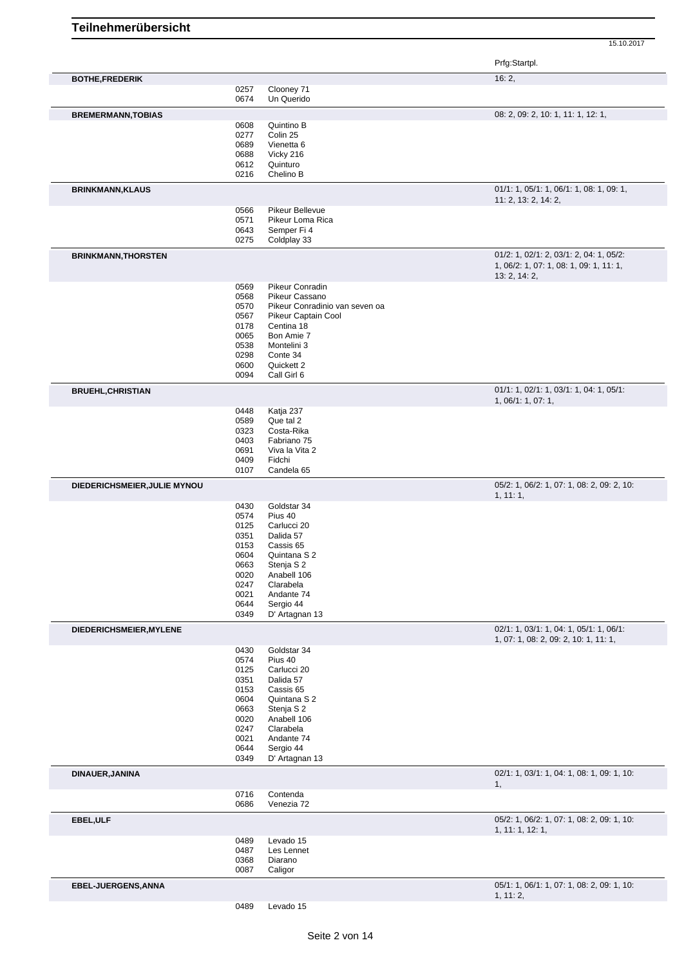|                              |              |                                   | Prfg:Startpl.                                                                                       |
|------------------------------|--------------|-----------------------------------|-----------------------------------------------------------------------------------------------------|
| <b>BOTHE, FREDERIK</b>       |              |                                   | 16:2,                                                                                               |
|                              | 0257<br>0674 | Clooney 71<br>Un Querido          |                                                                                                     |
|                              |              |                                   |                                                                                                     |
| <b>BREMERMANN, TOBIAS</b>    | 0608         | Quintino B                        | 08: 2, 09: 2, 10: 1, 11: 1, 12: 1,                                                                  |
|                              | 0277         | Colin 25                          |                                                                                                     |
|                              | 0689         | Vienetta 6                        |                                                                                                     |
|                              | 0688         | Vicky 216                         |                                                                                                     |
|                              | 0612         | Quinturo                          |                                                                                                     |
|                              | 0216         | Chelino B                         |                                                                                                     |
| <b>BRINKMANN, KLAUS</b>      |              |                                   | 01/1: 1, 05/1: 1, 06/1: 1, 08: 1, 09: 1,<br>11: 2, 13: 2, 14: 2,                                    |
|                              | 0566         | Pikeur Bellevue                   |                                                                                                     |
|                              | 0571         | Pikeur Loma Rica<br>Semper Fi 4   |                                                                                                     |
|                              | 0643<br>0275 | Coldplay 33                       |                                                                                                     |
|                              |              |                                   |                                                                                                     |
| <b>BRINKMANN, THORSTEN</b>   |              |                                   | 01/2: 1, 02/1: 2, 03/1: 2, 04: 1, 05/2:<br>1, 06/2: 1, 07: 1, 08: 1, 09: 1, 11: 1,<br>13: 2, 14: 2, |
|                              | 0569         | Pikeur Conradin                   |                                                                                                     |
|                              | 0568         | Pikeur Cassano                    |                                                                                                     |
|                              | 0570         | Pikeur Conradinio van seven oa    |                                                                                                     |
|                              | 0567<br>0178 | Pikeur Captain Cool<br>Centina 18 |                                                                                                     |
|                              | 0065         | Bon Amie 7                        |                                                                                                     |
|                              | 0538         | Montelini 3                       |                                                                                                     |
|                              | 0298         | Conte 34                          |                                                                                                     |
|                              | 0600         | Quickett 2                        |                                                                                                     |
| <b>BRUEHL, CHRISTIAN</b>     | 0094         | Call Girl 6                       | 01/1: 1, 02/1: 1, 03/1: 1, 04: 1, 05/1:                                                             |
|                              |              |                                   | 1, 06/1: 1, 07: 1,                                                                                  |
|                              | 0448         | Katja 237                         |                                                                                                     |
|                              | 0589         | Que tal 2                         |                                                                                                     |
|                              | 0323<br>0403 | Costa-Rika<br>Fabriano 75         |                                                                                                     |
|                              | 0691         | Viva la Vita 2                    |                                                                                                     |
|                              | 0409         | Fidchi                            |                                                                                                     |
|                              | 0107         | Candela 65                        |                                                                                                     |
| DIEDERICHSMEIER, JULIE MYNOU |              |                                   | 05/2: 1, 06/2: 1, 07: 1, 08: 2, 09: 2, 10:<br>1, 11:1,                                              |
|                              | 0430         | Goldstar 34                       |                                                                                                     |
|                              | 0574         | Pius 40                           |                                                                                                     |
|                              | 0125<br>0351 | Carlucci 20<br>Dalida 57          |                                                                                                     |
|                              | 0153         | Cassis 65                         |                                                                                                     |
|                              | 0604         | Quintana S 2                      |                                                                                                     |
|                              | 0663         | Stenja S 2                        |                                                                                                     |
|                              | 0020         | Anabell 106                       |                                                                                                     |
|                              | 0247         | Clarabela                         |                                                                                                     |
|                              | 0021<br>0644 | Andante 74<br>Sergio 44           |                                                                                                     |
|                              | 0349         | D' Artagnan 13                    |                                                                                                     |
| DIEDERICHSMEIER, MYLENE      |              |                                   | 02/1: 1, 03/1: 1, 04: 1, 05/1: 1, 06/1:                                                             |
|                              | 0430         | Goldstar 34                       | 1, 07: 1, 08: 2, 09: 2, 10: 1, 11: 1,                                                               |
|                              | 0574         | Pius 40                           |                                                                                                     |
|                              | 0125         | Carlucci 20                       |                                                                                                     |
|                              | 0351         | Dalida 57                         |                                                                                                     |
|                              | 0153<br>0604 | Cassis 65<br>Quintana S 2         |                                                                                                     |
|                              | 0663         | Stenja S 2                        |                                                                                                     |
|                              | 0020         | Anabell 106                       |                                                                                                     |
|                              | 0247         | Clarabela                         |                                                                                                     |
|                              | 0021         | Andante 74                        |                                                                                                     |
|                              | 0644<br>0349 | Sergio 44<br>D' Artagnan 13       |                                                                                                     |
| DINAUER, JANINA              |              |                                   | 02/1: 1, 03/1: 1, 04: 1, 08: 1, 09: 1, 10:                                                          |
|                              | 0716         | Contenda                          | 1,                                                                                                  |
|                              | 0686         | Venezia 72                        |                                                                                                     |
| EBEL, ULF                    |              |                                   | 05/2: 1, 06/2: 1, 07: 1, 08: 2, 09: 1, 10:<br>1, 11: 1, 12: 1,                                      |
|                              | 0489         | Levado 15                         |                                                                                                     |
|                              | 0487         | Les Lennet                        |                                                                                                     |
|                              | 0368         | Diarano                           |                                                                                                     |
|                              |              |                                   |                                                                                                     |
|                              | 0087         | Caligor                           |                                                                                                     |
| EBEL-JUERGENS, ANNA          |              |                                   | 05/1: 1, 06/1: 1, 07: 1, 08: 2, 09: 1, 10:<br>1, 11: 2,                                             |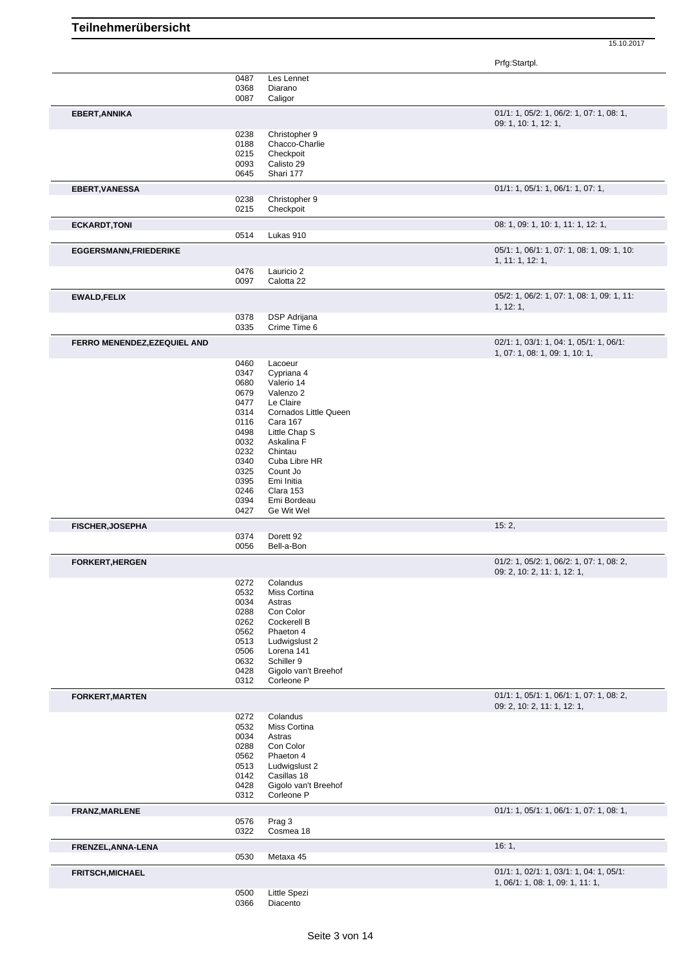|                                     | 0487         | Les Lennet               |                                            |
|-------------------------------------|--------------|--------------------------|--------------------------------------------|
|                                     | 0368         | Diarano                  |                                            |
|                                     | 0087         | Caligor                  |                                            |
|                                     |              |                          |                                            |
| EBERT, ANNIKA                       |              |                          | $01/1: 1, 05/2: 1, 06/2: 1, 07: 1, 08: 1,$ |
|                                     |              |                          | 09: 1, 10: 1, 12: 1,                       |
|                                     | 0238         | Christopher 9            |                                            |
|                                     | 0188         | Chacco-Charlie           |                                            |
|                                     | 0215         | Checkpoit                |                                            |
|                                     | 0093         | Calisto 29               |                                            |
|                                     | 0645         | Shari 177                |                                            |
| <b>EBERT, VANESSA</b>               |              |                          | 01/1: 1, 05/1: 1, 06/1: 1, 07: 1,          |
|                                     | 0238         | Christopher 9            |                                            |
|                                     | 0215         | Checkpoit                |                                            |
|                                     |              |                          |                                            |
| <b>ECKARDT, TONI</b>                |              |                          | 08: 1, 09: 1, 10: 1, 11: 1, 12: 1,         |
|                                     | 0514         | Lukas 910                |                                            |
| <b>EGGERSMANN, FRIEDERIKE</b>       |              |                          | 05/1: 1, 06/1: 1, 07: 1, 08: 1, 09: 1, 10: |
|                                     |              |                          | 1, 11: 1, 12: 1,                           |
|                                     | 0476<br>0097 | Lauricio 2               |                                            |
|                                     |              | Calotta 22               |                                            |
| <b>EWALD, FELIX</b>                 |              |                          | 05/2: 1, 06/2: 1, 07: 1, 08: 1, 09: 1, 11: |
|                                     |              |                          | 1, 12: 1,                                  |
|                                     | 0378         | <b>DSP</b> Adrijana      |                                            |
|                                     | 0335         | Crime Time 6             |                                            |
| <b>FERRO MENENDEZ, EZEQUIEL AND</b> |              |                          | 02/1: 1, 03/1: 1, 04: 1, 05/1: 1, 06/1:    |
|                                     |              |                          | 1, 07: 1, 08: 1, 09: 1, 10: 1,             |
|                                     | 0460         | Lacoeur                  |                                            |
|                                     | 0347         | Cypriana 4               |                                            |
|                                     | 0680         | Valerio 14               |                                            |
|                                     | 0679         | Valenzo 2                |                                            |
|                                     |              |                          |                                            |
|                                     | 0477         | Le Claire                |                                            |
|                                     | 0314         | Cornados Little Queen    |                                            |
|                                     | 0116         | Cara 167                 |                                            |
|                                     | 0498         | Little Chap S            |                                            |
|                                     | 0032         | Askalina F               |                                            |
|                                     |              | Chintau                  |                                            |
|                                     | 0232         |                          |                                            |
|                                     | 0340         | Cuba Libre HR            |                                            |
|                                     | 0325         | Count Jo                 |                                            |
|                                     | 0395         | Emi Initia               |                                            |
|                                     | 0246         | Clara 153                |                                            |
|                                     | 0394         | Emi Bordeau              |                                            |
|                                     | 0427         | Ge Wit Wel               |                                            |
|                                     |              |                          | 15:2,                                      |
| <b>FISCHER, JOSEPHA</b>             |              | Dorett <sub>92</sub>     |                                            |
|                                     |              |                          |                                            |
|                                     | 0374         |                          |                                            |
|                                     | 0056         | Bell-a-Bon               |                                            |
| <b>FORKERT, HERGEN</b>              |              |                          | 01/2: 1, 05/2: 1, 06/2: 1, 07: 1, 08: 2,   |
|                                     |              |                          | 09: 2, 10: 2, 11: 1, 12: 1,                |
|                                     | 0272         | Colandus                 |                                            |
|                                     | 0532         | Miss Cortina             |                                            |
|                                     | 0034         | Astras                   |                                            |
|                                     | 0288         | Con Color                |                                            |
|                                     | 0262         | Cockerell B              |                                            |
|                                     |              |                          |                                            |
|                                     | 0562         | Phaeton 4                |                                            |
|                                     | 0513         | Ludwigslust 2            |                                            |
|                                     | 0506         | Lorena 141               |                                            |
|                                     | 0632         | Schiller 9               |                                            |
|                                     | 0428         | Gigolo van't Breehof     |                                            |
|                                     | 0312         | Corleone P               |                                            |
| <b>FORKERT, MARTEN</b>              |              |                          | 01/1: 1, 05/1: 1, 06/1: 1, 07: 1, 08: 2,   |
|                                     |              |                          | 09: 2, 10: 2, 11: 1, 12: 1,                |
|                                     | 0272         | Colandus                 |                                            |
|                                     | 0532         | Miss Cortina             |                                            |
|                                     | 0034         | Astras                   |                                            |
|                                     | 0288         | Con Color                |                                            |
|                                     |              |                          |                                            |
|                                     | 0562         | Phaeton 4                |                                            |
|                                     | 0513         | Ludwigslust 2            |                                            |
|                                     | 0142         | Casillas 18              |                                            |
|                                     | 0428         | Gigolo van't Breehof     |                                            |
|                                     | 0312         | Corleone P               |                                            |
| <b>FRANZ, MARLENE</b>               |              |                          | 01/1: 1, 05/1: 1, 06/1: 1, 07: 1, 08: 1,   |
|                                     | 0576         | Prag 3                   |                                            |
|                                     | 0322         | Cosmea 18                |                                            |
| FRENZEL, ANNA-LENA                  |              |                          | 16:1,                                      |
|                                     | 0530         | Metaxa 45                |                                            |
| <b>FRITSCH, MICHAEL</b>             |              |                          | 01/1: 1, 02/1: 1, 03/1: 1, 04: 1, 05/1:    |
|                                     |              |                          | 1, 06/1: 1, 08: 1, 09: 1, 11: 1,           |
|                                     | 0500<br>0366 | Little Spezi<br>Diacento |                                            |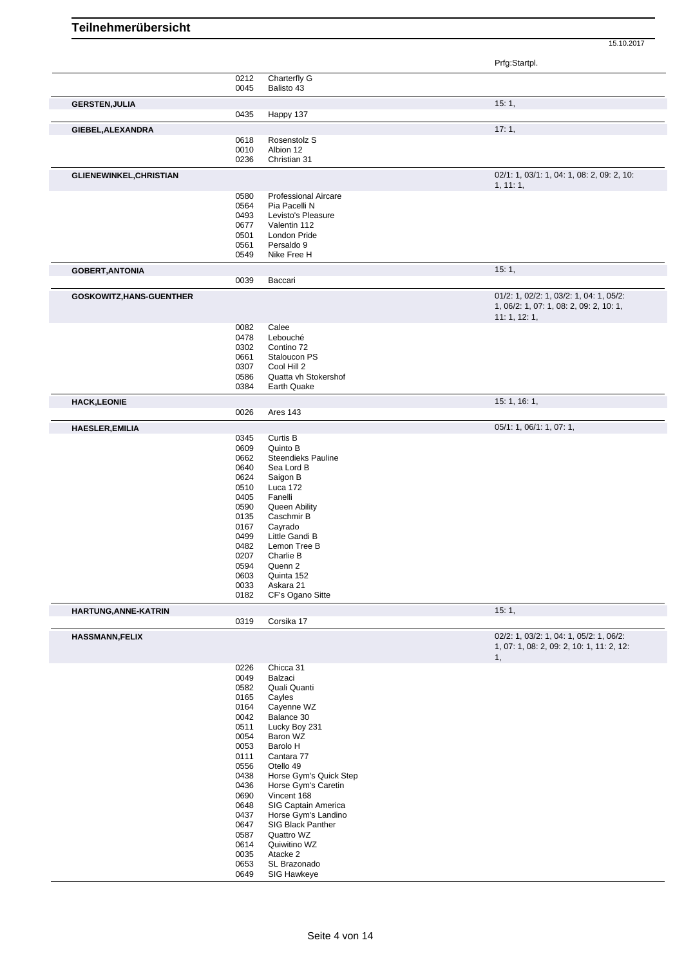|                                 |              |                                     | Prfg:Startpl.                              |
|---------------------------------|--------------|-------------------------------------|--------------------------------------------|
|                                 | 0212         | Charterfly G                        |                                            |
|                                 | 0045         | Balisto 43                          |                                            |
| <b>GERSTEN, JULIA</b>           |              |                                     | 15:1,                                      |
|                                 | 0435         | Happy 137                           |                                            |
| GIEBEL, ALEXANDRA               |              |                                     | 17:1,                                      |
|                                 | 0618         | Rosenstolz S                        |                                            |
|                                 | 0010         | Albion 12                           |                                            |
|                                 | 0236         | Christian 31                        |                                            |
| <b>GLIENEWINKEL, CHRISTIAN</b>  |              |                                     | 02/1: 1, 03/1: 1, 04: 1, 08: 2, 09: 2, 10: |
|                                 |              |                                     | 1, 11:1,                                   |
|                                 | 0580         | <b>Professional Aircare</b>         |                                            |
|                                 | 0564         | Pia Pacelli N                       |                                            |
|                                 | 0493<br>0677 | Levisto's Pleasure<br>Valentin 112  |                                            |
|                                 | 0501         | London Pride                        |                                            |
|                                 | 0561         | Persaldo 9                          |                                            |
|                                 | 0549         | Nike Free H                         |                                            |
| <b>GOBERT, ANTONIA</b>          |              |                                     | 15:1,                                      |
|                                 | 0039         | Baccari                             |                                            |
| <b>GOSKOWITZ, HANS-GUENTHER</b> |              |                                     | 01/2: 1, 02/2: 1, 03/2: 1, 04: 1, 05/2:    |
|                                 |              |                                     | 1, 06/2: 1, 07: 1, 08: 2, 09: 2, 10: 1,    |
|                                 |              |                                     | 11: 1, 12: 1,                              |
|                                 | 0082         | Calee                               |                                            |
|                                 | 0478         | Lebouché                            |                                            |
|                                 | 0302         | Contino 72                          |                                            |
|                                 | 0661<br>0307 | Staloucon PS<br>Cool Hill 2         |                                            |
|                                 | 0586         | Quatta vh Stokershof                |                                            |
|                                 | 0384         | Earth Quake                         |                                            |
| <b>HACK,LEONIE</b>              |              |                                     | 15: 1, 16: 1,                              |
|                                 | 0026         | Ares 143                            |                                            |
| <b>HAESLER, EMILIA</b>          |              |                                     | 05/1: 1, 06/1: 1, 07: 1,                   |
|                                 | 0345         | Curtis B                            |                                            |
|                                 | 0609         | Quinto B                            |                                            |
|                                 | 0662         | <b>Steendieks Pauline</b>           |                                            |
|                                 | 0640         | Sea Lord B                          |                                            |
|                                 | 0624         | Saigon B                            |                                            |
|                                 | 0510         | Luca 172                            |                                            |
|                                 | 0405<br>0590 | Fanelli<br>Queen Ability            |                                            |
|                                 | 0135         | Caschmir B                          |                                            |
|                                 | 0167         | Cayrado                             |                                            |
|                                 | 0499         | Little Gandi B                      |                                            |
|                                 | 0482         | Lemon Tree B                        |                                            |
|                                 | 0207         | Charlie B                           |                                            |
|                                 | 0594         | Quenn 2                             |                                            |
|                                 | 0603         | Quinta 152                          |                                            |
|                                 | 0033<br>0182 | Askara 21<br>CF's Ogano Sitte       |                                            |
|                                 |              |                                     | 15:1,                                      |
| HARTUNG, ANNE-KATRIN            | 0319         | Corsika 17                          |                                            |
| <b>HASSMANN,FELIX</b>           |              |                                     | 02/2: 1, 03/2: 1, 04: 1, 05/2: 1, 06/2:    |
|                                 |              |                                     | 1, 07: 1, 08: 2, 09: 2, 10: 1, 11: 2, 12:  |
|                                 |              |                                     | 1,                                         |
|                                 | 0226<br>0049 | Chicca 31<br>Balzaci                |                                            |
|                                 | 0582         | Quali Quanti                        |                                            |
|                                 | 0165         | Cayles                              |                                            |
|                                 | 0164         | Cayenne WZ                          |                                            |
|                                 | 0042         | Balance 30                          |                                            |
|                                 | 0511         | Lucky Boy 231                       |                                            |
|                                 | 0054         | Baron WZ                            |                                            |
|                                 | 0053         | Barolo H                            |                                            |
|                                 | 0111         | Cantara 77                          |                                            |
|                                 | 0556<br>0438 | Otello 49<br>Horse Gym's Quick Step |                                            |
|                                 | 0436         | Horse Gym's Caretin                 |                                            |
|                                 | 0690         | Vincent 168                         |                                            |
|                                 | 0648         | SIG Captain America                 |                                            |
|                                 | 0437         | Horse Gym's Landino                 |                                            |
|                                 | 0647         | SIG Black Panther                   |                                            |
|                                 | 0587         | Quattro WZ                          |                                            |
|                                 | 0614         | Quiwitino WZ                        |                                            |
|                                 |              |                                     |                                            |
|                                 | 0035         | Atacke 2                            |                                            |
|                                 | 0653<br>0649 | SL Brazonado<br>SIG Hawkeye         |                                            |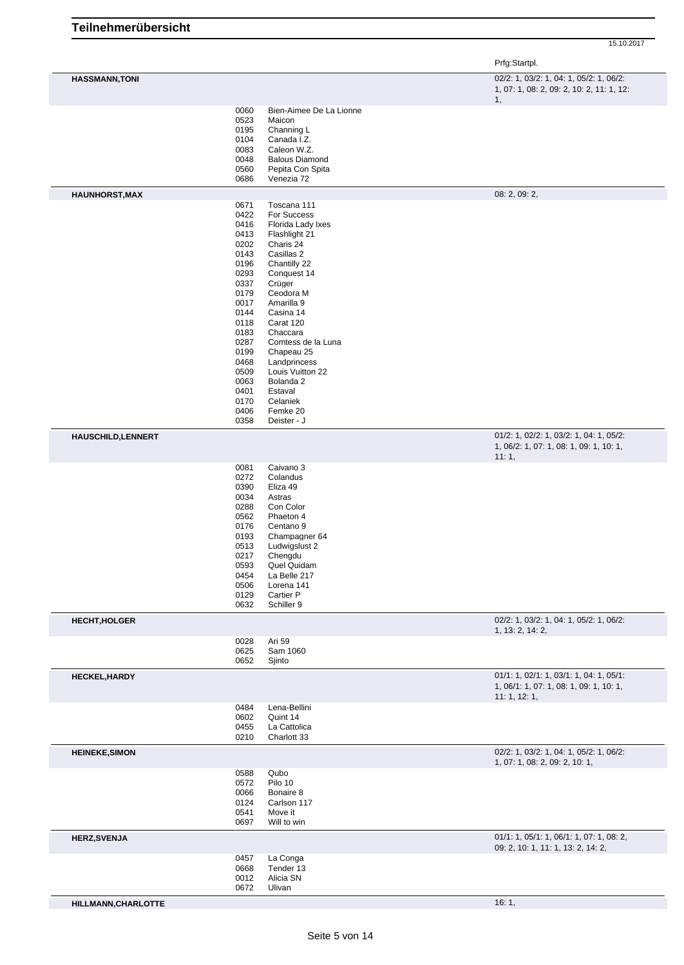|                           |              |                                   | Prfg:Startpl.                                                                        |
|---------------------------|--------------|-----------------------------------|--------------------------------------------------------------------------------------|
| <b>HASSMANN, TONI</b>     |              |                                   | 02/2: 1, 03/2: 1, 04: 1, 05/2: 1, 06/2:<br>1, 07: 1, 08: 2, 09: 2, 10: 2, 11: 1, 12: |
|                           | 0060<br>0523 | Bien-Aimee De La Lionne<br>Maicon | 1,                                                                                   |
|                           | 0195<br>0104 | Channing L<br>Canada I.Z.         |                                                                                      |
|                           | 0083         | Caleon W.Z.                       |                                                                                      |
|                           | 0048         | <b>Balous Diamond</b>             |                                                                                      |
|                           | 0560<br>0686 | Pepita Con Spita<br>Venezia 72    |                                                                                      |
| <b>HAUNHORST, MAX</b>     |              |                                   | 08: 2, 09: 2,                                                                        |
|                           | 0671         | Toscana 111                       |                                                                                      |
|                           | 0422<br>0416 | For Success<br>Florida Lady Ixes  |                                                                                      |
|                           | 0413         | Flashlight 21                     |                                                                                      |
|                           | 0202         | Charis 24                         |                                                                                      |
|                           | 0143<br>0196 | Casillas 2<br>Chantilly 22        |                                                                                      |
|                           | 0293         | Conquest 14                       |                                                                                      |
|                           | 0337         | Crüger                            |                                                                                      |
|                           | 0179<br>0017 | Ceodora M<br>Amarilla 9           |                                                                                      |
|                           | 0144         | Casina 14                         |                                                                                      |
|                           | 0118         | Carat 120                         |                                                                                      |
|                           | 0183<br>0287 | Chaccara<br>Comtess de la Luna    |                                                                                      |
|                           | 0199         | Chapeau 25                        |                                                                                      |
|                           | 0468         | Landprincess                      |                                                                                      |
|                           | 0509<br>0063 | Louis Vuitton 22<br>Bolanda 2     |                                                                                      |
|                           | 0401         | Estaval                           |                                                                                      |
|                           | 0170         | Celaniek                          |                                                                                      |
|                           | 0406<br>0358 | Femke 20<br>Deister - J           |                                                                                      |
| <b>HAUSCHILD, LENNERT</b> |              |                                   | 01/2: 1, 02/2: 1, 03/2: 1, 04: 1, 05/2:                                              |
|                           |              |                                   | 1, 06/2: 1, 07: 1, 08: 1, 09: 1, 10: 1,<br>11:1,                                     |
|                           | 0081<br>0272 | Caivano 3<br>Colandus             |                                                                                      |
|                           | 0390         | Eliza 49                          |                                                                                      |
|                           | 0034         | Astras                            |                                                                                      |
|                           | 0288<br>0562 | Con Color<br>Phaeton 4            |                                                                                      |
|                           | 0176         | Centano <sub>9</sub>              |                                                                                      |
|                           | 0193         | Champagner 64                     |                                                                                      |
|                           | 0513<br>0217 | Ludwigslust 2<br>Chengdu          |                                                                                      |
|                           | 0593         | Quel Quidam                       |                                                                                      |
|                           | 0454         | La Belle 217                      |                                                                                      |
|                           | 0506<br>0129 | Lorena 141<br>Cartier P           |                                                                                      |
|                           | 0632         | Schiller 9                        |                                                                                      |
| <b>HECHT, HOLGER</b>      |              |                                   | 02/2: 1, 03/2: 1, 04: 1, 05/2: 1, 06/2:<br>1, 13: 2, 14: 2,                          |
|                           | 0028<br>0625 | Ari 59<br>Sam 1060                |                                                                                      |
|                           | 0652         | Sjinto                            |                                                                                      |
| <b>HECKEL, HARDY</b>      |              |                                   | 01/1: 1, 02/1: 1, 03/1: 1, 04: 1, 05/1:                                              |
|                           |              |                                   | 1, 06/1: 1, 07: 1, 08: 1, 09: 1, 10: 1,<br>11: 1, 12: 1,                             |
|                           | 0484<br>0602 | Lena-Bellini<br>Quint 14          |                                                                                      |
|                           | 0455         | La Cattolica                      |                                                                                      |
|                           | 0210         | Charlott 33                       |                                                                                      |
| <b>HEINEKE, SIMON</b>     |              |                                   | 02/2: 1, 03/2: 1, 04: 1, 05/2: 1, 06/2:<br>1, 07: 1, 08: 2, 09: 2, 10: 1,            |
|                           | 0588         | Qubo                              |                                                                                      |
|                           | 0572<br>0066 | Pilo 10<br>Bonaire 8              |                                                                                      |
|                           | 0124         | Carlson 117                       |                                                                                      |
|                           | 0541         | Move it                           |                                                                                      |
|                           | 0697         | Will to win                       |                                                                                      |

**HERZ,SVENJA** 01/1: 1, 05/1: 1, 06/1: 1, 07: 1, 08: 2,

- -

**HILLMANN, CHARLOTTE** 16: 1,

09: 2, 10: 1, 11: 1, 13: 2, 14: 2,

 La Conga Tender 13 Alicia SN

Ulivan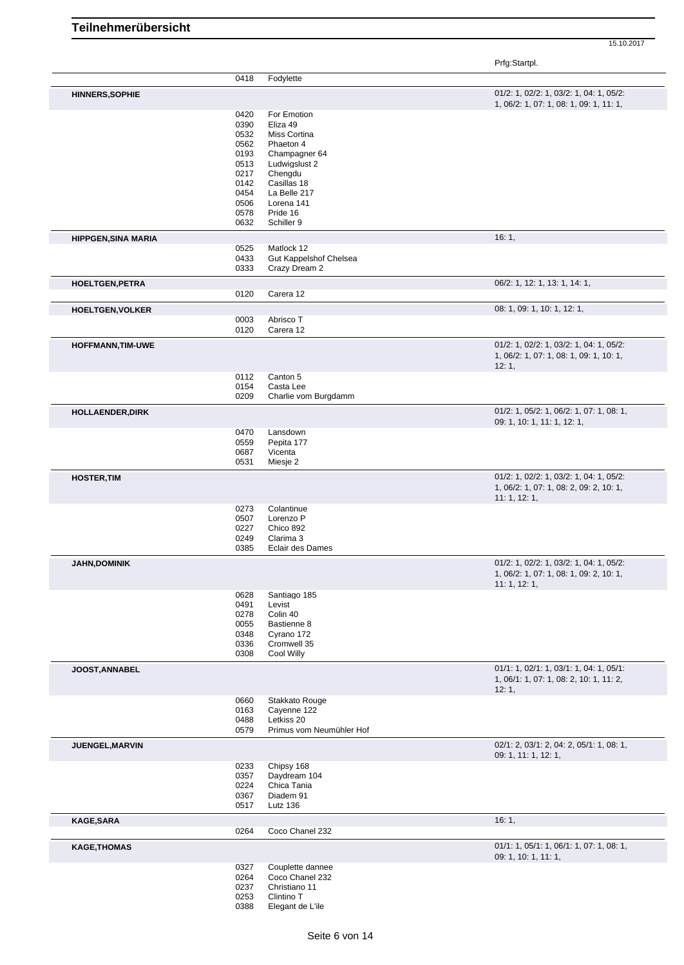Prfg:Startpl.

|                            | 0418                                                                                         | Fodylette                                                                                                                                                                |                                                                                                     |
|----------------------------|----------------------------------------------------------------------------------------------|--------------------------------------------------------------------------------------------------------------------------------------------------------------------------|-----------------------------------------------------------------------------------------------------|
| <b>HINNERS, SOPHIE</b>     |                                                                                              |                                                                                                                                                                          | 01/2: 1, 02/2: 1, 03/2: 1, 04: 1, 05/2:<br>1, 06/2: 1, 07: 1, 08: 1, 09: 1, 11: 1,                  |
|                            | 0420<br>0390<br>0532<br>0562<br>0193<br>0513<br>0217<br>0142<br>0454<br>0506<br>0578<br>0632 | For Emotion<br>Eliza 49<br>Miss Cortina<br>Phaeton 4<br>Champagner 64<br>Ludwigslust 2<br>Chengdu<br>Casillas 18<br>La Belle 217<br>Lorena 141<br>Pride 16<br>Schiller 9 |                                                                                                     |
| <b>HIPPGEN, SINA MARIA</b> |                                                                                              |                                                                                                                                                                          | 16:1,                                                                                               |
|                            | 0525<br>0433<br>0333                                                                         | Matlock 12<br>Gut Kappelshof Chelsea<br>Crazy Dream 2                                                                                                                    |                                                                                                     |
| <b>HOELTGEN, PETRA</b>     | 0120                                                                                         | Carera 12                                                                                                                                                                | 06/2: 1, 12: 1, 13: 1, 14: 1,                                                                       |
| <b>HOELTGEN, VOLKER</b>    |                                                                                              |                                                                                                                                                                          | 08: 1, 09: 1, 10: 1, 12: 1,                                                                         |
|                            | 0003<br>0120                                                                                 | Abrisco T<br>Carera 12                                                                                                                                                   |                                                                                                     |
| <b>HOFFMANN, TIM-UWE</b>   |                                                                                              |                                                                                                                                                                          | 01/2: 1, 02/2: 1, 03/2: 1, 04: 1, 05/2:<br>1, 06/2: 1, 07: 1, 08: 1, 09: 1, 10: 1,<br>12:1,         |
|                            | 0112<br>0154<br>0209                                                                         | Canton 5<br>Casta Lee<br>Charlie vom Burgdamm                                                                                                                            |                                                                                                     |
| HOLLAENDER, DIRK           |                                                                                              |                                                                                                                                                                          | 01/2: 1, 05/2: 1, 06/2: 1, 07: 1, 08: 1,<br>09: 1, 10: 1, 11: 1, 12: 1,                             |
|                            | 0470<br>0559<br>0687<br>0531                                                                 | Lansdown<br>Pepita 177<br>Vicenta<br>Miesje 2                                                                                                                            |                                                                                                     |
| <b>HOSTER, TIM</b>         |                                                                                              |                                                                                                                                                                          | 01/2: 1, 02/2: 1, 03/2: 1, 04: 1, 05/2:<br>1, 06/2: 1, 07: 1, 08: 2, 09: 2, 10: 1,<br>11: 1, 12: 1, |
|                            | 0273<br>0507<br>0227<br>0249<br>0385                                                         | Colantinue<br>Lorenzo P<br>Chico 892<br>Clarima 3<br>Eclair des Dames                                                                                                    |                                                                                                     |
| <b>JAHN, DOMINIK</b>       |                                                                                              |                                                                                                                                                                          | 01/2: 1, 02/2: 1, 03/2: 1, 04: 1, 05/2:<br>1, 06/2: 1, 07: 1, 08: 1, 09: 2, 10: 1,<br>11: 1, 12: 1, |
|                            | 0628<br>0491<br>0278<br>0055<br>0348<br>0336<br>0308                                         | Santiago 185<br>Levist<br>Colin 40<br>Bastienne 8<br>Cyrano 172<br>Cromwell 35<br>Cool Willy                                                                             |                                                                                                     |
| <b>JOOST, ANNABEL</b>      |                                                                                              |                                                                                                                                                                          | 01/1: 1, 02/1: 1, 03/1: 1, 04: 1, 05/1:<br>1, 06/1: 1, 07: 1, 08: 2, 10: 1, 11: 2,<br>12:1,         |
|                            | 0660<br>0163<br>0488<br>0579                                                                 | Stakkato Rouge<br>Cayenne 122<br>Letkiss 20<br>Primus vom Neumühler Hof                                                                                                  |                                                                                                     |
| JUENGEL, MARVIN            |                                                                                              |                                                                                                                                                                          | $02/1: 2, 03/1: 2, 04: 2, 05/1: 1, 08: 1,$<br>09: 1, 11: 1, 12: 1,                                  |
|                            | 0233<br>0357<br>0224<br>0367<br>0517                                                         | Chipsy 168<br>Daydream 104<br>Chica Tania<br>Diadem 91<br><b>Lutz 136</b>                                                                                                |                                                                                                     |
| <b>KAGE, SARA</b>          | 0264                                                                                         | Coco Chanel 232                                                                                                                                                          | 16:1,                                                                                               |
| <b>KAGE, THOMAS</b>        |                                                                                              |                                                                                                                                                                          | 01/1: 1, 05/1: 1, 06/1: 1, 07: 1, 08: 1,<br>09: 1, 10: 1, 11: 1,                                    |
|                            | 0327<br>0264<br>0237<br>0253<br>0388                                                         | Couplette dannee<br>Coco Chanel 232<br>Christiano 11<br>Clintino T<br>Elegant de L'ile                                                                                   |                                                                                                     |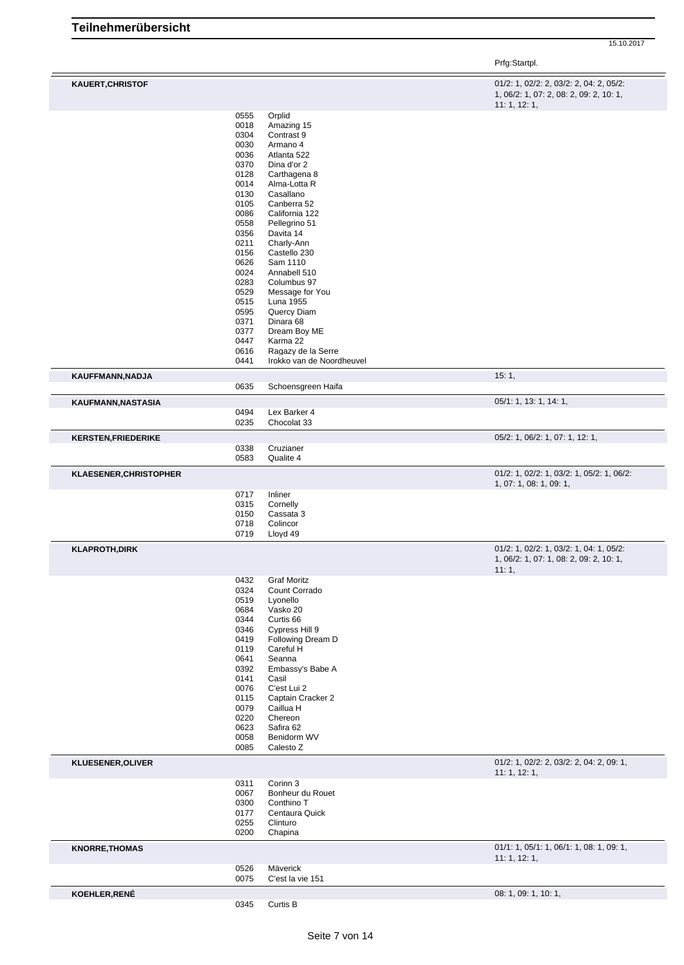|                            |              |                                  | 15.10.2017                                                                                          |
|----------------------------|--------------|----------------------------------|-----------------------------------------------------------------------------------------------------|
|                            |              |                                  | Prfg:Startpl.                                                                                       |
| <b>KAUERT, CHRISTOF</b>    |              |                                  | 01/2: 1, 02/2: 2, 03/2: 2, 04: 2, 05/2:<br>1, 06/2: 1, 07: 2, 08: 2, 09: 2, 10: 1,<br>11: 1, 12: 1, |
|                            | 0555<br>0018 | Orplid<br>Amazing 15             |                                                                                                     |
|                            | 0304         | Contrast 9                       |                                                                                                     |
|                            | 0030         | Armano 4                         |                                                                                                     |
|                            | 0036         | Atlanta 522                      |                                                                                                     |
|                            | 0370         | Dina d'or 2                      |                                                                                                     |
|                            | 0128<br>0014 | Carthagena 8<br>Alma-Lotta R     |                                                                                                     |
|                            | 0130         | Casallano                        |                                                                                                     |
|                            | 0105         | Canberra 52                      |                                                                                                     |
|                            | 0086<br>0558 | California 122                   |                                                                                                     |
|                            | 0356         | Pellegrino 51<br>Davita 14       |                                                                                                     |
|                            | 0211         | Charly-Ann                       |                                                                                                     |
|                            | 0156         | Castello 230                     |                                                                                                     |
|                            | 0626         | Sam 1110                         |                                                                                                     |
|                            | 0024<br>0283 | Annabell 510<br>Columbus 97      |                                                                                                     |
|                            | 0529         | Message for You                  |                                                                                                     |
|                            | 0515         | Luna 1955                        |                                                                                                     |
|                            | 0595         | Quercy Diam                      |                                                                                                     |
|                            | 0371<br>0377 | Dinara 68<br>Dream Boy ME        |                                                                                                     |
|                            | 0447         | Karma 22                         |                                                                                                     |
|                            | 0616         | Ragazy de la Serre               |                                                                                                     |
|                            | 0441         | Irokko van de Noordheuvel        |                                                                                                     |
| KAUFFMANN, NADJA           | 0635         | Schoensgreen Haifa               | 15:1,                                                                                               |
| KAUFMANN, NASTASIA         |              |                                  | 05/1: 1, 13: 1, 14: 1,                                                                              |
|                            | 0494         | Lex Barker 4                     |                                                                                                     |
|                            | 0235         | Chocolat 33                      |                                                                                                     |
| <b>KERSTEN, FRIEDERIKE</b> |              |                                  | 05/2: 1, 06/2: 1, 07: 1, 12: 1,                                                                     |
|                            | 0338         | Cruzianer                        |                                                                                                     |
|                            | 0583         | Qualite 4                        | 01/2: 1, 02/2: 1, 03/2: 1, 05/2: 1, 06/2:                                                           |
| KLAESENER, CHRISTOPHER     |              |                                  | 1, 07: 1, 08: 1, 09: 1,                                                                             |
|                            | 0717<br>0315 | Inliner                          |                                                                                                     |
|                            | 0150         | Cornelly<br>Cassata 3            |                                                                                                     |
|                            | 0718         | Colincor                         |                                                                                                     |
|                            | 0719         | Lloyd 49                         |                                                                                                     |
| <b>KLAPROTH, DIRK</b>      |              |                                  | 01/2: 1, 02/2: 1, 03/2: 1, 04: 1, 05/2:                                                             |
|                            |              |                                  | 1, 06/2: 1, 07: 1, 08: 2, 09: 2, 10: 1,<br>11:1,                                                    |
|                            | 0432         | <b>Graf Moritz</b>               |                                                                                                     |
|                            | 0324         | Count Corrado                    |                                                                                                     |
|                            | 0519         | Lyonello                         |                                                                                                     |
|                            | 0684<br>0344 | Vasko 20<br>Curtis <sub>66</sub> |                                                                                                     |
|                            | 0346         | Cypress Hill 9                   |                                                                                                     |
|                            | 0419         | Following Dream D                |                                                                                                     |
|                            | 0119         | Careful H                        |                                                                                                     |
|                            | 0641<br>0392 | Seanna<br>Embassy's Babe A       |                                                                                                     |
|                            | 0141         | Casil                            |                                                                                                     |
|                            | 0076         | C'est Lui 2                      |                                                                                                     |
|                            | 0115         | Captain Cracker 2                |                                                                                                     |
|                            | 0079<br>0220 | Caillua H<br>Chereon             |                                                                                                     |
|                            | 0623         | Safira 62                        |                                                                                                     |
|                            | 0058         | Benidorm WV                      |                                                                                                     |
|                            | 0085         | Calesto Z                        |                                                                                                     |
| <b>KLUESENER, OLIVER</b>   |              |                                  | 01/2: 1, 02/2: 2, 03/2: 2, 04: 2, 09: 1,<br>11: 1, 12: 1,                                           |
|                            | 0311         | Corinn 3                         |                                                                                                     |
|                            | 0067<br>0300 | Bonheur du Rouet<br>Conthino T   |                                                                                                     |
|                            | 0177         | Centaura Quick                   |                                                                                                     |
|                            | 0255         | Clinturo                         |                                                                                                     |
|                            | 0200         | Chapina                          |                                                                                                     |
| <b>KNORRE, THOMAS</b>      |              |                                  | 01/1: 1, 05/1: 1, 06/1: 1, 08: 1, 09: 1,<br>11: 1, 12: 1,                                           |
|                            | 0526         | Mäverick                         |                                                                                                     |
|                            | 0075         | C'est la vie 151                 |                                                                                                     |
|                            |              |                                  |                                                                                                     |
| KOEHLER, RENÉ              | 0345         | Curtis B                         | 08: 1, 09: 1, 10: 1,                                                                                |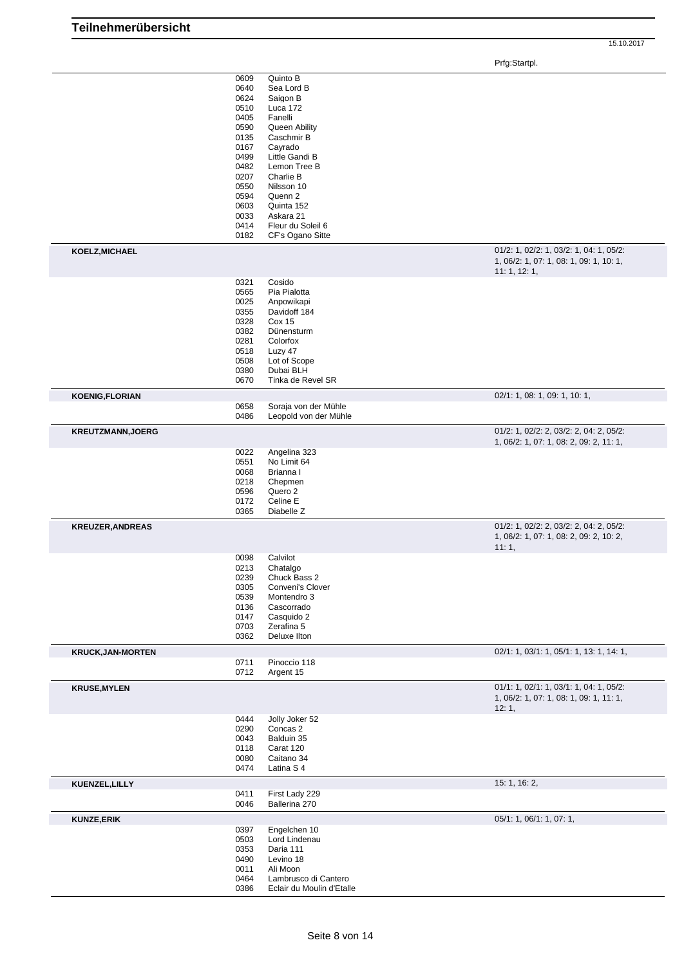Prfg:Startpl.

|                          | 0609         | Quinto B                                          |                                          |
|--------------------------|--------------|---------------------------------------------------|------------------------------------------|
|                          |              |                                                   |                                          |
|                          | 0640         | Sea Lord B                                        |                                          |
|                          | 0624         | Saigon B                                          |                                          |
|                          | 0510         | Luca 172                                          |                                          |
|                          |              |                                                   |                                          |
|                          | 0405         | Fanelli                                           |                                          |
|                          | 0590         | Queen Ability                                     |                                          |
|                          |              |                                                   |                                          |
|                          | 0135         | Caschmir B                                        |                                          |
|                          | 0167         | Cayrado                                           |                                          |
|                          | 0499         | Little Gandi B                                    |                                          |
|                          |              |                                                   |                                          |
|                          | 0482         | Lemon Tree B                                      |                                          |
|                          | 0207         | Charlie B                                         |                                          |
|                          |              |                                                   |                                          |
|                          | 0550         | Nilsson 10                                        |                                          |
|                          | 0594         | Quenn 2                                           |                                          |
|                          | 0603         | Quinta 152                                        |                                          |
|                          |              | Askara 21                                         |                                          |
|                          | 0033         |                                                   |                                          |
|                          | 0414         | Fleur du Soleil 6                                 |                                          |
|                          | 0182         | CF's Ogano Sitte                                  |                                          |
|                          |              |                                                   |                                          |
| KOELZ, MICHAEL           |              |                                                   | 01/2: 1, 02/2: 1, 03/2: 1, 04: 1, 05/2:  |
|                          |              |                                                   |                                          |
|                          |              |                                                   | 1, 06/2: 1, 07: 1, 08: 1, 09: 1, 10: 1,  |
|                          |              |                                                   | 11:1, 12:1,                              |
|                          |              |                                                   |                                          |
|                          | 0321         | Cosido                                            |                                          |
|                          | 0565         | Pia Pialotta                                      |                                          |
|                          | 0025         | Anpowikapi                                        |                                          |
|                          |              |                                                   |                                          |
|                          | 0355         | Davidoff 184                                      |                                          |
|                          | 0328         | <b>Cox 15</b>                                     |                                          |
|                          | 0382         | Dünensturm                                        |                                          |
|                          |              |                                                   |                                          |
|                          | 0281         | Colorfox                                          |                                          |
|                          | 0518         | Luzy 47                                           |                                          |
|                          | 0508         | Lot of Scope                                      |                                          |
|                          |              |                                                   |                                          |
|                          | 0380         | Dubai BLH                                         |                                          |
|                          | 0670         | Tinka de Revel SR                                 |                                          |
|                          |              |                                                   |                                          |
| <b>KOENIG,FLORIAN</b>    |              |                                                   | 02/1: 1, 08: 1, 09: 1, 10: 1,            |
|                          | 0658         | Soraja von der Mühle                              |                                          |
|                          | 0486         | Leopold von der Mühle                             |                                          |
|                          |              |                                                   |                                          |
| <b>KREUTZMANN, JOERG</b> |              |                                                   | 01/2: 1, 02/2: 2, 03/2: 2, 04: 2, 05/2:  |
|                          |              |                                                   |                                          |
|                          |              |                                                   | 1, 06/2: 1, 07: 1, 08: 2, 09: 2, 11: 1,  |
|                          | 0022         | Angelina 323                                      |                                          |
|                          |              |                                                   |                                          |
|                          | 0551         | No Limit 64                                       |                                          |
|                          | 0068         | Brianna I                                         |                                          |
|                          |              |                                                   |                                          |
|                          |              |                                                   |                                          |
|                          | 0218         | Chepmen                                           |                                          |
|                          | 0596         | Quero 2                                           |                                          |
|                          |              |                                                   |                                          |
|                          | 0172         | Celine E                                          |                                          |
|                          | 0365         | Diabelle Z                                        |                                          |
|                          |              |                                                   |                                          |
| <b>KREUZER, ANDREAS</b>  |              |                                                   | 01/2: 1, 02/2: 2, 03/2: 2, 04: 2, 05/2:  |
|                          |              |                                                   | 1, 06/2: 1, 07: 1, 08: 2, 09: 2, 10: 2,  |
|                          |              |                                                   |                                          |
|                          |              |                                                   | 11:1,                                    |
|                          | 0098         | Calvilot                                          |                                          |
|                          | 0213         | Chatalgo                                          |                                          |
|                          |              |                                                   |                                          |
|                          | 0239         | Chuck Bass 2                                      |                                          |
|                          | 0305         | Conveni's Clover                                  |                                          |
|                          |              | Montendro 3                                       |                                          |
|                          | 0539         |                                                   |                                          |
|                          | 0136         | Cascorrado                                        |                                          |
|                          | 0147         | Casquido 2                                        |                                          |
|                          | 0703         | Zerafina 5                                        |                                          |
|                          | 0362         | Deluxe Ilton                                      |                                          |
|                          |              |                                                   |                                          |
| <b>KRUCK, JAN-MORTEN</b> |              |                                                   | 02/1: 1, 03/1: 1, 05/1: 1, 13: 1, 14: 1, |
|                          | 0711         | Pinoccio 118                                      |                                          |
|                          |              |                                                   |                                          |
|                          | 0712         | Argent 15                                         |                                          |
| <b>KRUSE, MYLEN</b>      |              |                                                   | 01/1: 1, 02/1: 1, 03/1: 1, 04: 1, 05/2:  |
|                          |              |                                                   |                                          |
|                          |              |                                                   | 1, 06/2: 1, 07: 1, 08: 1, 09: 1, 11: 1,  |
|                          |              |                                                   | 12:1,                                    |
|                          | 0444         | Jolly Joker 52                                    |                                          |
|                          |              |                                                   |                                          |
|                          | 0290         | Concas 2                                          |                                          |
|                          | 0043         | Balduin 35                                        |                                          |
|                          |              |                                                   |                                          |
|                          | 0118         | Carat 120                                         |                                          |
|                          | 0080         | Caitano 34                                        |                                          |
|                          | 0474         | Latina S 4                                        |                                          |
|                          |              |                                                   |                                          |
| KUENZEL, LILLY           |              |                                                   | 15: 1, 16: 2,                            |
|                          | 0411         | First Lady 229                                    |                                          |
|                          | 0046         | Ballerina 270                                     |                                          |
|                          |              |                                                   |                                          |
| <b>KUNZE, ERIK</b>       |              |                                                   | 05/1: 1, 06/1: 1, 07: 1,                 |
|                          | 0397         | Engelchen 10                                      |                                          |
|                          |              |                                                   |                                          |
|                          | 0503         | Lord Lindenau                                     |                                          |
|                          | 0353         | Daria 111                                         |                                          |
|                          | 0490         | Levino 18                                         |                                          |
|                          |              |                                                   |                                          |
|                          | 0011         | Ali Moon                                          |                                          |
|                          | 0464<br>0386 | Lambrusco di Cantero<br>Eclair du Moulin d'Etalle |                                          |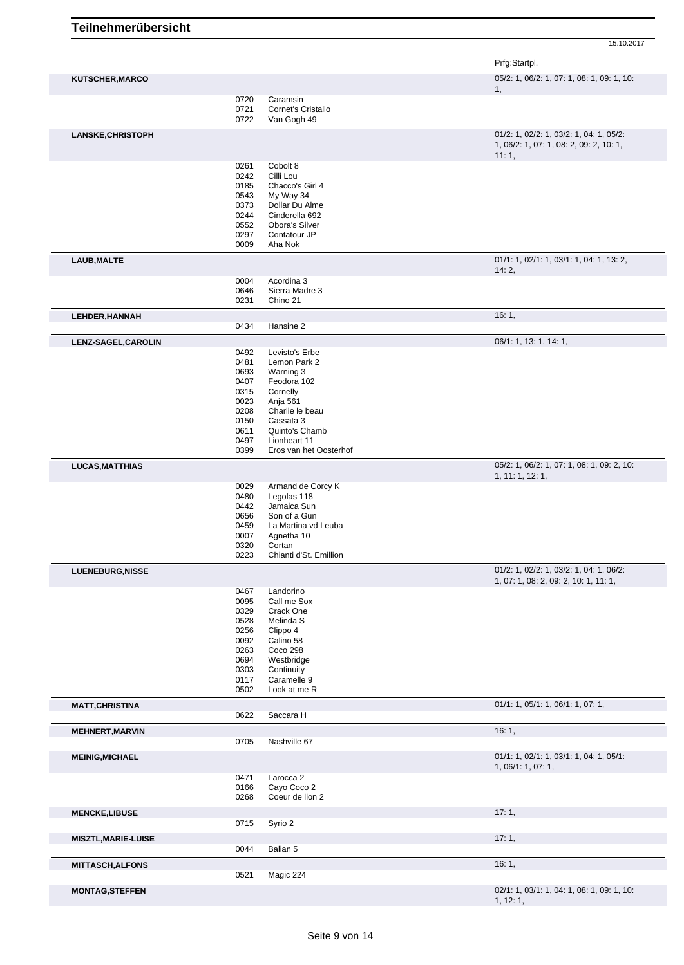|                            |              |                                     | 15.10.2017                                                                         |
|----------------------------|--------------|-------------------------------------|------------------------------------------------------------------------------------|
|                            |              |                                     | Prfg:Startpl.                                                                      |
| <b>KUTSCHER, MARCO</b>     |              |                                     | 05/2: 1, 06/2: 1, 07: 1, 08: 1, 09: 1, 10:                                         |
|                            |              |                                     | 1,                                                                                 |
|                            | 0720<br>0721 | Caramsin<br>Cornet's Cristallo      |                                                                                    |
|                            | 0722         | Van Gogh 49                         |                                                                                    |
| <b>LANSKE, CHRISTOPH</b>   |              |                                     | 01/2: 1, 02/2: 1, 03/2: 1, 04: 1, 05/2:<br>1, 06/2: 1, 07: 1, 08: 2, 09: 2, 10: 1, |
|                            | 0261         | Cobolt 8                            | 11:1,                                                                              |
|                            | 0242         | Cilli Lou                           |                                                                                    |
|                            | 0185         | Chacco's Girl 4                     |                                                                                    |
|                            | 0543<br>0373 | My Way 34<br>Dollar Du Alme         |                                                                                    |
|                            | 0244         | Cinderella 692                      |                                                                                    |
|                            | 0552         | Obora's Silver                      |                                                                                    |
|                            | 0297<br>0009 | Contatour JP<br>Aha Nok             |                                                                                    |
| <b>LAUB, MALTE</b>         |              |                                     | 01/1: 1, 02/1: 1, 03/1: 1, 04: 1, 13: 2,                                           |
|                            | 0004         | Acordina 3                          | 14:2,                                                                              |
|                            | 0646         | Sierra Madre 3                      |                                                                                    |
|                            | 0231         | Chino 21                            |                                                                                    |
| LEHDER, HANNAH             | 0434         | Hansine 2                           | 16:1,                                                                              |
| LENZ-SAGEL, CAROLIN        |              |                                     | 06/1: 1, 13: 1, 14: 1,                                                             |
|                            | 0492         | Levisto's Erbe                      |                                                                                    |
|                            | 0481         | Lemon Park 2                        |                                                                                    |
|                            | 0693<br>0407 | Warning 3<br>Feodora 102            |                                                                                    |
|                            | 0315         | Cornelly                            |                                                                                    |
|                            | 0023         | Anja 561                            |                                                                                    |
|                            | 0208<br>0150 | Charlie le beau<br>Cassata 3        |                                                                                    |
|                            | 0611         | Quinto's Chamb                      |                                                                                    |
|                            | 0497         | Lionheart 11                        |                                                                                    |
|                            | 0399         | Eros van het Oosterhof              |                                                                                    |
| <b>LUCAS, MATTHIAS</b>     |              |                                     | 05/2: 1, 06/2: 1, 07: 1, 08: 1, 09: 2, 10:<br>1, 11: 1, 12: 1,                     |
|                            | 0029         | Armand de Corcy K                   |                                                                                    |
|                            | 0480<br>0442 | Legolas 118<br>Jamaica Sun          |                                                                                    |
|                            | 0656         | Son of a Gun                        |                                                                                    |
|                            | 0459         | La Martina vd Leuba                 |                                                                                    |
|                            | 0007<br>0320 | Agnetha 10<br>Cortan                |                                                                                    |
|                            | 0223         | Chianti d'St. Emillion              |                                                                                    |
| <b>LUENEBURG, NISSE</b>    |              |                                     | 01/2: 1, 02/2: 1, 03/2: 1, 04: 1, 06/2:                                            |
|                            | 0467         | Landorino                           | 1, 07: 1, 08: 2, 09: 2, 10: 1, 11: 1,                                              |
|                            | 0095         | Call me Sox                         |                                                                                    |
|                            | 0329         | Crack One                           |                                                                                    |
|                            | 0528<br>0256 | Melinda S<br>Clippo 4               |                                                                                    |
|                            | 0092         | Calino 58                           |                                                                                    |
|                            | 0263         | Coco 298                            |                                                                                    |
|                            | 0694<br>0303 | Westbridge<br>Continuity            |                                                                                    |
|                            | 0117         | Caramelle 9                         |                                                                                    |
|                            | 0502         | Look at me R                        |                                                                                    |
| <b>MATT, CHRISTINA</b>     | 0622         | Saccara H                           | 01/1: 1, 05/1: 1, 06/1: 1, 07: 1,                                                  |
| <b>MEHNERT, MARVIN</b>     |              |                                     | 16:1,                                                                              |
|                            | 0705         | Nashville 67                        |                                                                                    |
| <b>MEINIG, MICHAEL</b>     |              |                                     | 01/1: 1, 02/1: 1, 03/1: 1, 04: 1, 05/1:<br>1, 06/1: 1, 07: 1,                      |
|                            | 0471<br>0166 | Larocca <sub>2</sub><br>Cayo Coco 2 |                                                                                    |
|                            | 0268         | Coeur de lion 2                     |                                                                                    |
| <b>MENCKE,LIBUSE</b>       |              |                                     | 17:1,                                                                              |
|                            | 0715         | Syrio 2                             |                                                                                    |
| <b>MISZTL, MARIE-LUISE</b> |              |                                     | 17:1,                                                                              |
|                            | 0044         | Balian 5                            |                                                                                    |
| <b>MITTASCH, ALFONS</b>    | 0521         | Magic 224                           | 16:1,                                                                              |
| <b>MONTAG, STEFFEN</b>     |              |                                     | 02/1: 1, 03/1: 1, 04: 1, 08: 1, 09: 1, 10:                                         |
|                            |              |                                     |                                                                                    |

 $1, 12: 1,$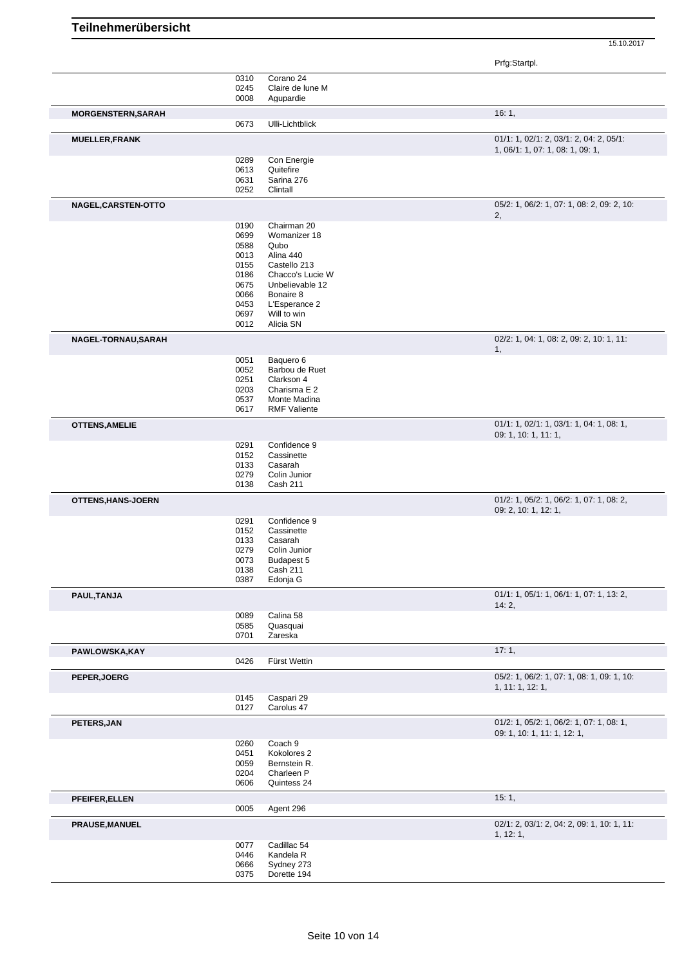Prfg:Startpl.

|                           | 0310              | Corano 24                 |                                            |
|---------------------------|-------------------|---------------------------|--------------------------------------------|
|                           | 0245              | Claire de lune M          |                                            |
|                           | 0008              | Agupardie                 |                                            |
|                           |                   |                           |                                            |
| <b>MORGENSTERN, SARAH</b> |                   |                           | 16:1,                                      |
|                           | 0673              | Ulli-Lichtblick           |                                            |
|                           |                   |                           |                                            |
| <b>MUELLER, FRANK</b>     |                   |                           | 01/1: 1, 02/1: 2, 03/1: 2, 04: 2, 05/1:    |
|                           |                   |                           | 1, 06/1: 1, 07: 1, 08: 1, 09: 1,           |
|                           | 0289              | Con Energie               |                                            |
|                           | 0613<br>Quitefire |                           |                                            |
|                           | 0631              | Sarina 276                |                                            |
|                           | 0252<br>Clintall  |                           |                                            |
| NAGEL, CARSTEN-OTTO       |                   |                           | 05/2: 1, 06/2: 1, 07: 1, 08: 2, 09: 2, 10: |
|                           |                   |                           | 2,                                         |
|                           |                   | Chairman 20               |                                            |
|                           | 0190              |                           |                                            |
|                           | 0699              | Womanizer 18              |                                            |
|                           | 0588<br>Qubo      |                           |                                            |
|                           | 0013              | Alina 440                 |                                            |
|                           | 0155              | Castello 213              |                                            |
|                           | 0186              | Chacco's Lucie W          |                                            |
|                           | 0675              | Unbelievable 12           |                                            |
|                           | 0066              | Bonaire 8                 |                                            |
|                           | 0453              | L'Esperance 2             |                                            |
|                           | 0697              | Will to win               |                                            |
|                           | 0012              | Alicia SN                 |                                            |
|                           |                   |                           |                                            |
| NAGEL-TORNAU, SARAH       |                   |                           | 02/2: 1, 04: 1, 08: 2, 09: 2, 10: 1, 11:   |
|                           |                   |                           | 1,                                         |
|                           | 0051              | Baquero 6                 |                                            |
|                           | 0052              | Barbou de Ruet            |                                            |
|                           | 0251              | Clarkson 4                |                                            |
|                           | 0203              | Charisma E 2              |                                            |
|                           | 0537              | Monte Madina              |                                            |
|                           | 0617              | <b>RMF Valiente</b>       |                                            |
|                           |                   |                           |                                            |
| <b>OTTENS, AMELIE</b>     |                   |                           | 01/1: 1, 02/1: 1, 03/1: 1, 04: 1, 08: 1,   |
|                           |                   |                           | 09: 1, 10: 1, 11: 1,                       |
|                           | 0291              | Confidence 9              |                                            |
|                           | 0152              | Cassinette                |                                            |
|                           | 0133<br>Casarah   |                           |                                            |
|                           | 0279              | Colin Junior              |                                            |
|                           | 0138              | Cash 211                  |                                            |
|                           |                   |                           |                                            |
| OTTENS, HANS-JOERN        |                   |                           | 01/2: 1, 05/2: 1, 06/2: 1, 07: 1, 08: 2,   |
|                           |                   |                           | 09: 2, 10: 1, 12: 1,                       |
|                           | 0291              | Confidence 9              |                                            |
|                           | 0152              | Cassinette                |                                            |
|                           | 0133<br>Casarah   |                           |                                            |
|                           | 0279              | Colin Junior              |                                            |
|                           | 0073              | Budapest 5                |                                            |
|                           | 0138              | Cash 211                  |                                            |
|                           | 0387              | Edonja G                  |                                            |
|                           |                   |                           |                                            |
| PAUL, TANJA               |                   |                           | 01/1: 1, 05/1: 1, 06/1: 1, 07: 1, 13: 2,   |
|                           |                   |                           | 14:2,                                      |
|                           | 0089              | Calina 58                 |                                            |
|                           | 0585              | Quasquai                  |                                            |
|                           | 0701<br>Zareska   |                           |                                            |
| PAWLOWSKA, KAY            |                   |                           | 17:1,                                      |
|                           | 0426              | Fürst Wettin              |                                            |
|                           |                   |                           |                                            |
| PEPER, JOERG              |                   |                           | 05/2: 1, 06/2: 1, 07: 1, 08: 1, 09: 1, 10: |
|                           |                   |                           | 1, 11: 1, 12: 1,                           |
|                           | 0145              | Caspari 29                |                                            |
|                           | 0127              | Carolus 47                |                                            |
|                           |                   |                           |                                            |
| PETERS, JAN               |                   |                           | 01/2: 1, 05/2: 1, 06/2: 1, 07: 1, 08: 1,   |
|                           |                   |                           | 09: 1, 10: 1, 11: 1, 12: 1,                |
|                           | Coach 9<br>0260   |                           |                                            |
|                           | 0451              | Kokolores 2               |                                            |
|                           | 0059              | Bernstein R.              |                                            |
|                           | 0204              | Charleen P                |                                            |
|                           | 0606              | Quintess 24               |                                            |
|                           |                   |                           |                                            |
| PFEIFER, ELLEN            |                   |                           | 15:1,                                      |
|                           | 0005              | Agent 296                 |                                            |
|                           |                   |                           | 02/1: 2, 03/1: 2, 04: 2, 09: 1, 10: 1, 11: |
| <b>PRAUSE, MANUEL</b>     |                   |                           |                                            |
|                           |                   |                           | 1, 12: 1,                                  |
|                           | 0077              | Cadillac <sub>54</sub>    |                                            |
|                           | 0446              | Kandela R                 |                                            |
|                           |                   |                           |                                            |
|                           | 0666<br>0375      | Sydney 273<br>Dorette 194 |                                            |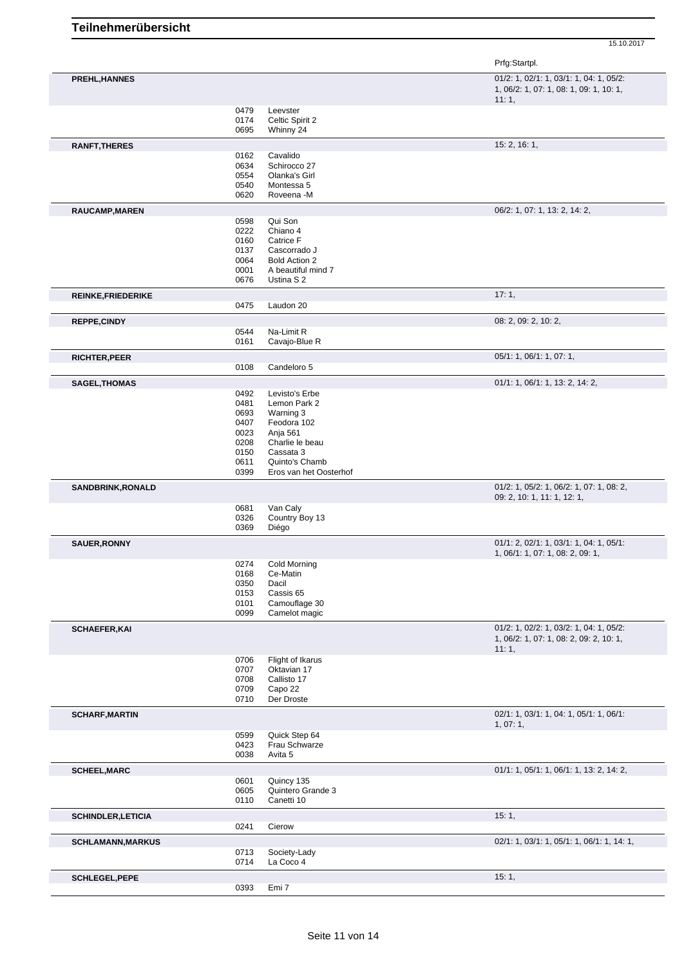|                           |              |                             | Prfg:Startpl.                                                                               |
|---------------------------|--------------|-----------------------------|---------------------------------------------------------------------------------------------|
| PREHL, HANNES             |              |                             | 01/2: 1, 02/1: 1, 03/1: 1, 04: 1, 05/2:<br>1, 06/2: 1, 07: 1, 08: 1, 09: 1, 10: 1,<br>11:1, |
|                           | 0479         | Leevster                    |                                                                                             |
|                           | 0174         | Celtic Spirit 2             |                                                                                             |
|                           | 0695         | Whinny 24                   |                                                                                             |
| <b>RANFT, THERES</b>      | 0162         | Cavalido                    | 15: 2, 16: 1,                                                                               |
|                           | 0634         | Schirocco 27                |                                                                                             |
|                           | 0554         | Olanka's Girl               |                                                                                             |
|                           | 0540         | Montessa 5                  |                                                                                             |
|                           | 0620         | Roveena -M                  |                                                                                             |
| RAUCAMP, MAREN            |              |                             | 06/2: 1, 07: 1, 13: 2, 14: 2,                                                               |
|                           | 0598<br>0222 | Qui Son<br>Chiano 4         |                                                                                             |
|                           | 0160         | Catrice F                   |                                                                                             |
|                           | 0137         | Cascorrado J                |                                                                                             |
|                           | 0064         | <b>Bold Action 2</b>        |                                                                                             |
|                           | 0001         | A beautiful mind 7          |                                                                                             |
|                           | 0676         | Ustina S 2                  |                                                                                             |
| <b>REINKE, FRIEDERIKE</b> |              |                             | 17:1,                                                                                       |
|                           | 0475         | Laudon 20                   |                                                                                             |
| REPPE, CINDY              |              |                             | 08: 2, 09: 2, 10: 2,                                                                        |
|                           | 0544<br>0161 | Na-Limit R<br>Cavajo-Blue R |                                                                                             |
| <b>RICHTER, PEER</b>      |              |                             | 05/1: 1, 06/1: 1, 07: 1,                                                                    |
|                           | 0108         | Candeloro 5                 |                                                                                             |
| <b>SAGEL, THOMAS</b>      |              |                             | 01/1: 1, 06/1: 1, 13: 2, 14: 2,                                                             |
|                           | 0492         | Levisto's Erbe              |                                                                                             |
|                           | 0481         | Lemon Park 2                |                                                                                             |
|                           | 0693         | Warning 3                   |                                                                                             |
|                           | 0407<br>0023 | Feodora 102<br>Anja 561     |                                                                                             |
|                           | 0208         | Charlie le beau             |                                                                                             |
|                           | 0150         | Cassata 3                   |                                                                                             |
|                           | 0611         | Quinto's Chamb              |                                                                                             |
|                           | 0399         | Eros van het Oosterhof      |                                                                                             |
| <b>SANDBRINK, RONALD</b>  |              |                             | 01/2: 1, 05/2: 1, 06/2: 1, 07: 1, 08: 2,<br>09: 2, 10: 1, 11: 1, 12: 1,                     |
|                           | 0681         | Van Caly                    |                                                                                             |
|                           | 0326<br>0369 | Country Boy 13<br>Diégo     |                                                                                             |
| <b>SAUER, RONNY</b>       |              |                             | 01/1: 2, 02/1: 1, 03/1: 1, 04: 1, 05/1:                                                     |
|                           |              |                             | 1, 06/1: 1, 07: 1, 08: 2, 09: 1,                                                            |
|                           | 0274         | <b>Cold Morning</b>         |                                                                                             |
|                           | 0168         | Ce-Matin                    |                                                                                             |
|                           | 0350<br>0153 | Dacil<br>Cassis 65          |                                                                                             |
|                           | 0101         | Camouflage 30               |                                                                                             |
|                           | 0099         | Camelot magic               |                                                                                             |
| <b>SCHAEFER, KAI</b>      |              |                             | 01/2: 1, 02/2: 1, 03/2: 1, 04: 1, 05/2:                                                     |
|                           |              |                             | 1, 06/2: 1, 07: 1, 08: 2, 09: 2, 10: 1,                                                     |
|                           | 0706         | Flight of Ikarus            | 11:1,                                                                                       |
|                           | 0707         | Oktavian 17                 |                                                                                             |
|                           | 0708         | Callisto 17                 |                                                                                             |
|                           | 0709         | Capo 22                     |                                                                                             |
|                           | 0710         | Der Droste                  |                                                                                             |
| <b>SCHARF, MARTIN</b>     |              |                             | 02/1: 1, 03/1: 1, 04: 1, 05/1: 1, 06/1:<br>1,07:1,                                          |
|                           | 0599         | Quick Step 64               |                                                                                             |
|                           | 0423<br>0038 | Frau Schwarze<br>Avita 5    |                                                                                             |
|                           |              |                             |                                                                                             |
| <b>SCHEEL, MARC</b>       | 0601         | Quincy 135                  | 01/1: 1, 05/1: 1, 06/1: 1, 13: 2, 14: 2,                                                    |
|                           | 0605         | Quintero Grande 3           |                                                                                             |
|                           | 0110         | Canetti 10                  |                                                                                             |
| <b>SCHINDLER, LETICIA</b> |              |                             | 15:1,                                                                                       |
|                           | 0241         | Cierow                      |                                                                                             |
| <b>SCHLAMANN, MARKUS</b>  |              |                             | 02/1: 1, 03/1: 1, 05/1: 1, 06/1: 1, 14: 1,                                                  |
|                           | 0713<br>0714 | Society-Lady<br>La Coco 4   |                                                                                             |
|                           |              |                             | 15:1,                                                                                       |
| <b>SCHLEGEL, PEPE</b>     | 0393         | Emi <sub>7</sub>            |                                                                                             |
|                           |              |                             |                                                                                             |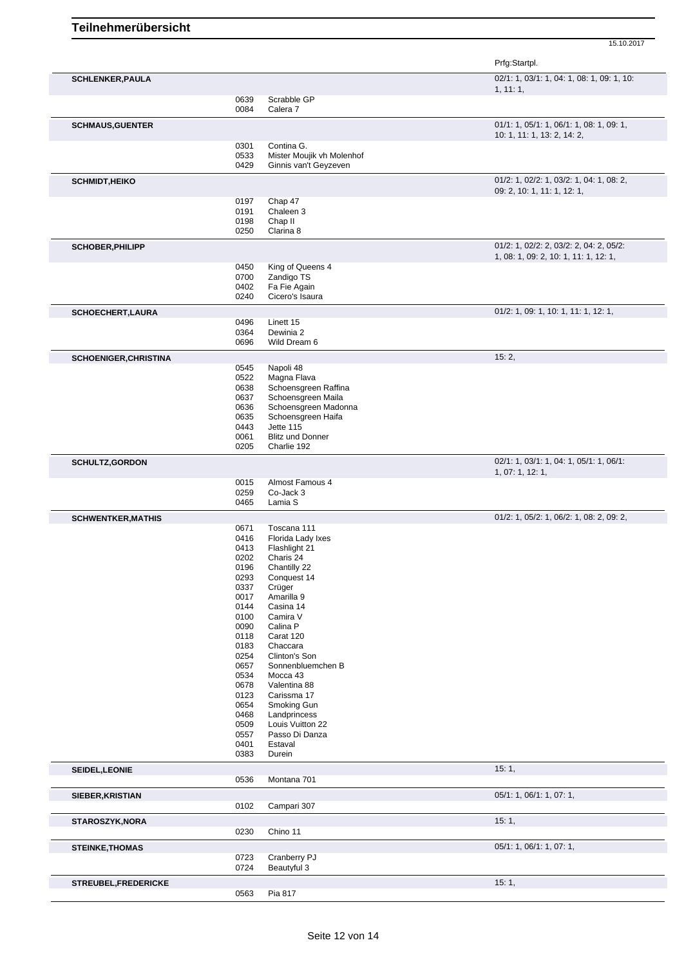|                              |              |                                                    | Prfg:Startpl.                              |
|------------------------------|--------------|----------------------------------------------------|--------------------------------------------|
| <b>SCHLENKER, PAULA</b>      |              |                                                    | 02/1: 1, 03/1: 1, 04: 1, 08: 1, 09: 1, 10: |
|                              |              |                                                    | 1, 11:1,                                   |
|                              | 0639<br>0084 | Scrabble GP<br>Calera <sub>7</sub>                 |                                            |
| <b>SCHMAUS, GUENTER</b>      |              |                                                    | 01/1: 1, 05/1: 1, 06/1: 1, 08: 1, 09: 1,   |
|                              |              |                                                    | 10: 1, 11: 1, 13: 2, 14: 2,                |
|                              | 0301         | Contina G.                                         |                                            |
|                              | 0533<br>0429 | Mister Moujik vh Molenhof<br>Ginnis van't Geyzeven |                                            |
|                              |              |                                                    | 01/2: 1, 02/2: 1, 03/2: 1, 04: 1, 08: 2,   |
| <b>SCHMIDT, HEIKO</b>        |              |                                                    | 09: 2, 10: 1, 11: 1, 12: 1,                |
|                              | 0197         | Chap 47                                            |                                            |
|                              | 0191         | Chaleen 3                                          |                                            |
|                              | 0198<br>0250 | Chap II<br>Clarina 8                               |                                            |
| <b>SCHOBER, PHILIPP</b>      |              |                                                    | 01/2: 1, 02/2: 2, 03/2: 2, 04: 2, 05/2:    |
|                              |              |                                                    | 1, 08: 1, 09: 2, 10: 1, 11: 1, 12: 1,      |
|                              | 0450         | King of Queens 4                                   |                                            |
|                              | 0700         | Zandigo TS                                         |                                            |
|                              | 0402<br>0240 | Fa Fie Again<br>Cicero's Isaura                    |                                            |
|                              |              |                                                    | 01/2: 1, 09: 1, 10: 1, 11: 1, 12: 1,       |
| SCHOECHERT, LAURA            | 0496         | Linett 15                                          |                                            |
|                              | 0364         | Dewinia 2                                          |                                            |
|                              | 0696         | Wild Dream 6                                       |                                            |
| <b>SCHOENIGER, CHRISTINA</b> |              |                                                    | 15:2,                                      |
|                              | 0545<br>0522 | Napoli 48<br>Magna Flava                           |                                            |
|                              | 0638         | Schoensgreen Raffina                               |                                            |
|                              | 0637         | Schoensgreen Maila                                 |                                            |
|                              | 0636         | Schoensgreen Madonna                               |                                            |
|                              | 0635         | Schoensgreen Haifa                                 |                                            |
|                              | 0443         | Jette 115                                          |                                            |
|                              | 0061<br>0205 | <b>Blitz und Donner</b><br>Charlie 192             |                                            |
| <b>SCHULTZ, GORDON</b>       |              |                                                    | 02/1: 1, 03/1: 1, 04: 1, 05/1: 1, 06/1:    |
|                              |              |                                                    | 1, 07: 1, 12: 1,                           |
|                              | 0015         | Almost Famous 4                                    |                                            |
|                              | 0259<br>0465 | Co-Jack 3<br>Lamia S                               |                                            |
| <b>SCHWENTKER, MATHIS</b>    |              |                                                    | 01/2: 1, 05/2: 1, 06/2: 1, 08: 2, 09: 2,   |
|                              | 0671         | Toscana 111                                        |                                            |
|                              | 0416         | Florida Lady Ixes                                  |                                            |
|                              | 0413         | Flashlight 21                                      |                                            |
|                              | 0202         | Charis 24                                          |                                            |
|                              | 0196         | Chantilly 22                                       |                                            |
|                              | 0293<br>0337 | Conquest 14<br>Crüger                              |                                            |
|                              | 0017         | Amarilla 9                                         |                                            |
|                              | 0144         | Casina 14                                          |                                            |
|                              | 0100         | Camira V                                           |                                            |
|                              | 0090         | Calina P                                           |                                            |
|                              | 0118<br>0183 | Carat 120<br>Chaccara                              |                                            |
|                              | 0254         | Clinton's Son                                      |                                            |
|                              | 0657         | Sonnenbluemchen B                                  |                                            |
|                              | 0534         | Mocca 43                                           |                                            |
|                              | 0678         | Valentina 88                                       |                                            |
|                              | 0123<br>0654 | Carissma 17<br>Smoking Gun                         |                                            |
|                              | 0468         | Landprincess                                       |                                            |
|                              | 0509         | Louis Vuitton 22                                   |                                            |
|                              | 0557         | Passo Di Danza                                     |                                            |
|                              | 0401         | Estaval                                            |                                            |
|                              | 0383         | Durein                                             |                                            |
| SEIDEL, LEONIE               | 0536         | Montana 701                                        | 15:1,                                      |
|                              |              |                                                    |                                            |
| SIEBER, KRISTIAN             | 0102         | Campari 307                                        | 05/1: 1, 06/1: 1, 07: 1,                   |
|                              |              |                                                    |                                            |
| STAROSZYK, NORA              | 0230         | Chino 11                                           | 15:1,                                      |
|                              |              |                                                    |                                            |
| <b>STEINKE, THOMAS</b>       | 0723         | Cranberry PJ                                       | 05/1: 1, 06/1: 1, 07: 1,                   |
|                              | 0724         | Beautyful 3                                        |                                            |
| STREUBEL, FREDERICKE         |              |                                                    | 15:1,                                      |
|                              | 0563         | Pia 817                                            |                                            |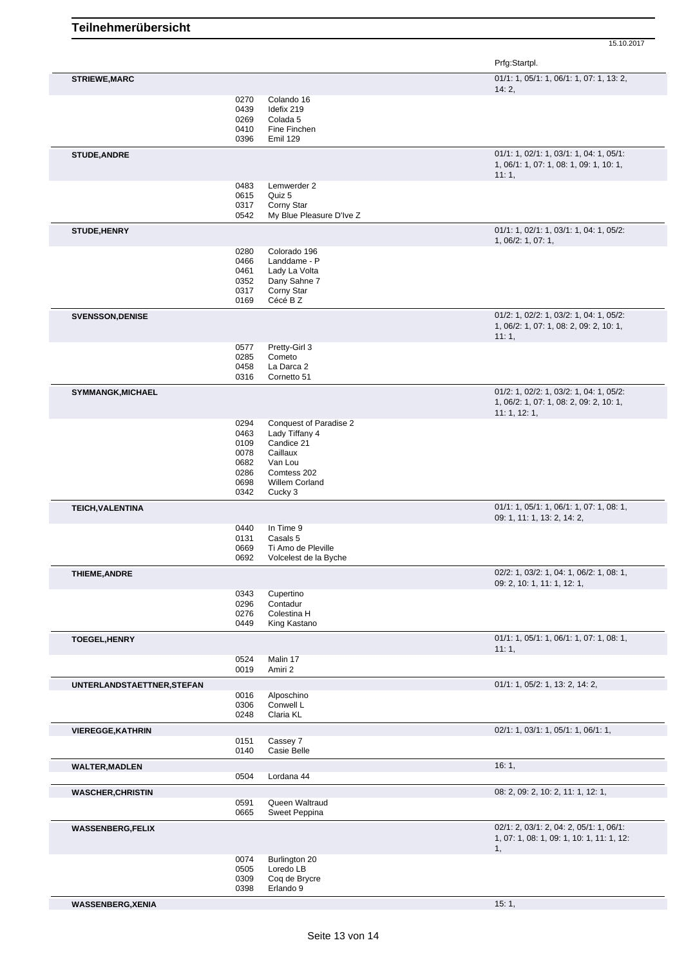Prfg:Startpl.

| <b>STRIEWE, MARC</b>       |              |                                        | 01/1: 1, 05/1: 1, 06/1: 1, 07: 1, 13: 2,                                           |
|----------------------------|--------------|----------------------------------------|------------------------------------------------------------------------------------|
|                            | 0270         | Colando 16                             | 14:2,                                                                              |
|                            | 0439         | Idefix 219                             |                                                                                    |
|                            | 0269         | Colada <sub>5</sub>                    |                                                                                    |
|                            | 0410         | Fine Finchen                           |                                                                                    |
|                            | 0396         | Emil 129                               |                                                                                    |
| <b>STUDE, ANDRE</b>        |              |                                        | 01/1: 1, 02/1: 1, 03/1: 1, 04: 1, 05/1:<br>1, 06/1: 1, 07: 1, 08: 1, 09: 1, 10: 1, |
|                            |              |                                        | 11:1,                                                                              |
|                            | 0483         | Lemwerder 2                            |                                                                                    |
|                            | 0615         | Quiz 5                                 |                                                                                    |
|                            | 0317<br>0542 | Corny Star<br>My Blue Pleasure D'Ive Z |                                                                                    |
| STUDE, HENRY               |              |                                        | 01/1: 1, 02/1: 1, 03/1: 1, 04: 1, 05/2:                                            |
|                            |              |                                        | 1, 06/2: 1, 07: 1,                                                                 |
|                            | 0280         | Colorado 196                           |                                                                                    |
|                            | 0466<br>0461 | Landdame - P<br>Lady La Volta          |                                                                                    |
|                            | 0352         | Dany Sahne 7                           |                                                                                    |
|                            | 0317         | Corny Star                             |                                                                                    |
|                            | 0169         | Cécé B Z                               |                                                                                    |
| <b>SVENSSON, DENISE</b>    |              |                                        | 01/2: 1, 02/2: 1, 03/2: 1, 04: 1, 05/2:                                            |
|                            |              |                                        | 1, 06/2: 1, 07: 1, 08: 2, 09: 2, 10: 1,                                            |
|                            |              | Pretty-Girl 3                          | 11:1,                                                                              |
|                            | 0577<br>0285 | Cometo                                 |                                                                                    |
|                            | 0458         | La Darca 2                             |                                                                                    |
|                            | 0316         | Cornetto 51                            |                                                                                    |
| <b>SYMMANGK, MICHAEL</b>   |              |                                        | 01/2: 1, 02/2: 1, 03/2: 1, 04: 1, 05/2:                                            |
|                            |              |                                        | 1, 06/2: 1, 07: 1, 08: 2, 09: 2, 10: 1,                                            |
|                            | 0294         | Conquest of Paradise 2                 | 11:1, 12:1,                                                                        |
|                            | 0463         | Lady Tiffany 4                         |                                                                                    |
|                            | 0109         | Candice 21                             |                                                                                    |
|                            | 0078         | Caillaux                               |                                                                                    |
|                            | 0682         | Van Lou                                |                                                                                    |
|                            | 0286         | Comtess 202<br>Willem Corland          |                                                                                    |
|                            | 0698<br>0342 | Cucky 3                                |                                                                                    |
| TEICH, VALENTINA           |              |                                        | $01/1: 1, 05/1: 1, 06/1: 1, 07: 1, 08: 1,$                                         |
|                            |              |                                        | 09: 1, 11: 1, 13: 2, 14: 2,                                                        |
|                            | 0440         | In Time 9                              |                                                                                    |
|                            | 0131<br>0669 | Casals 5<br>Ti Amo de Pleville         |                                                                                    |
|                            | 0692         | Volcelest de la Byche                  |                                                                                    |
| <b>THIEME, ANDRE</b>       |              |                                        | 02/2: 1, 03/2: 1, 04: 1, 06/2: 1, 08: 1,                                           |
|                            |              |                                        | 09: 2, 10: 1, 11: 1, 12: 1,                                                        |
|                            | 0343<br>0296 | Cupertino<br>Contadur                  |                                                                                    |
|                            | 0276         | Colestina H                            |                                                                                    |
|                            | 0449         | King Kastano                           |                                                                                    |
| <b>TOEGEL, HENRY</b>       |              |                                        | $01/1: 1, 05/1: 1, 06/1: 1, 07: 1, 08: 1,$                                         |
|                            |              |                                        | 11:1,                                                                              |
|                            | 0524<br>0019 | Malin 17<br>Amiri 2                    |                                                                                    |
| UNTERLANDSTAETTNER, STEFAN |              |                                        | 01/1: 1, 05/2: 1, 13: 2, 14: 2,                                                    |
|                            | 0016         | Alposchino                             |                                                                                    |
|                            | 0306         | Conwell L                              |                                                                                    |
|                            | 0248         | Claria KL                              |                                                                                    |
| <b>VIEREGGE, KATHRIN</b>   |              |                                        | 02/1: 1, 03/1: 1, 05/1: 1, 06/1: 1,                                                |
|                            | 0151<br>0140 | Cassey 7<br>Casie Belle                |                                                                                    |
|                            |              |                                        |                                                                                    |
| <b>WALTER, MADLEN</b>      | 0504         | Lordana 44                             | 16:1,                                                                              |
|                            |              |                                        | 08: 2, 09: 2, 10: 2, 11: 1, 12: 1,                                                 |
| <b>WASCHER, CHRISTIN</b>   | 0591         | Queen Waltraud                         |                                                                                    |
|                            | 0665         | Sweet Peppina                          |                                                                                    |
| <b>WASSENBERG,FELIX</b>    |              |                                        | 02/1: 2, 03/1: 2, 04: 2, 05/1: 1, 06/1:                                            |
|                            |              |                                        | 1, 07: 1, 08: 1, 09: 1, 10: 1, 11: 1, 12:                                          |
|                            |              |                                        | 1,                                                                                 |
|                            | 0074<br>0505 | Burlington 20<br>Loredo LB             |                                                                                    |
|                            | 0309         | Coq de Brycre                          |                                                                                    |
|                            | 0398         | Erlando 9                              |                                                                                    |

**WASSENBERG,XENIA** 15: 1,